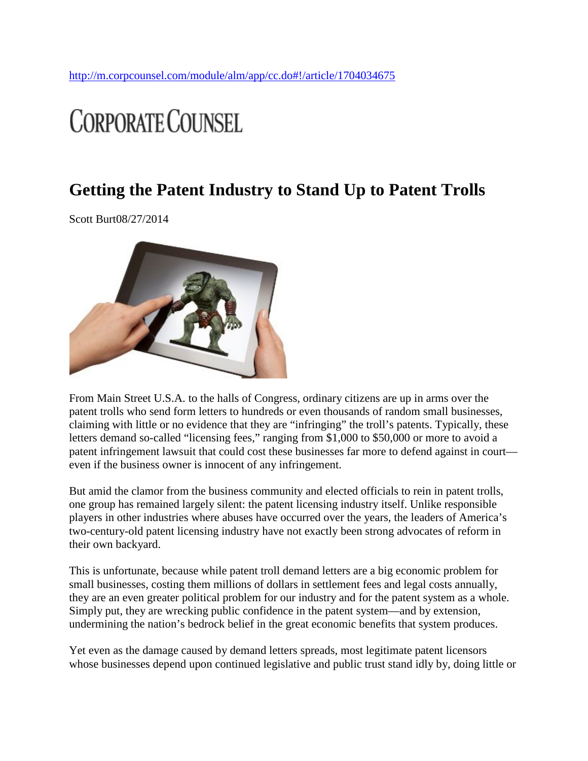# **CORPORATE COUNSEL**

## **Getting the Patent Industry to Stand Up to Patent Trolls**

Scott Burt08/27/2014



From Main Street U.S.A. to the halls of Congress, ordinary citizens are up in arms over the patent trolls who send form letters to hundreds or even thousands of random small businesses, claiming with little or no evidence that they are "infringing" the troll's patents. Typically, these letters demand so-called "licensing fees," ranging from \$1,000 to \$50,000 or more to avoid a patent infringement lawsuit that could cost these businesses far more to defend against in court even if the business owner is innocent of any infringement.

But amid the clamor from the business community and elected officials to rein in patent trolls, one group has remained largely silent: the patent licensing industry itself. Unlike responsible players in other industries where abuses have occurred over the years, the leaders of America's two-century-old patent licensing industry have not exactly been strong advocates of reform in their own backyard.

This is unfortunate, because while patent troll demand letters are a big economic problem for small businesses, costing them millions of dollars in settlement fees and legal costs annually, they are an even greater political problem for our industry and for the patent system as a whole. Simply put, they are wrecking public confidence in the patent system—and by extension, undermining the nation's bedrock belief in the great economic benefits that system produces.

Yet even as the damage caused by demand letters spreads, most legitimate patent licensors whose businesses depend upon continued legislative and public trust stand idly by, doing little or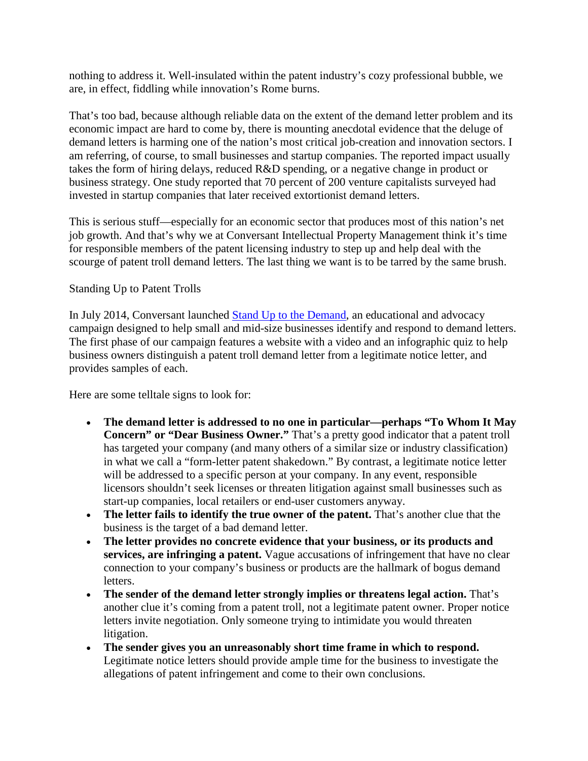nothing to address it. Well-insulated within the patent industry's cozy professional bubble, we are, in effect, fiddling while innovation's Rome burns.

That's too bad, because although reliable data on the extent of the demand letter problem and its economic impact are hard to come by, there is mounting anecdotal evidence that the deluge of demand letters is harming one of the nation's most critical job-creation and innovation sectors. I am referring, of course, to small businesses and startup companies. The reported impact usually takes the form of hiring delays, reduced R&D spending, or a negative change in product or business strategy. One study reported that 70 percent of 200 venture capitalists surveyed had invested in startup companies that later received extortionist demand letters.

This is serious stuff—especially for an economic sector that produces most of this nation's net job growth. And that's why we at Conversant Intellectual Property Management think it's time for responsible members of the patent licensing industry to step up and help deal with the scourge of patent troll demand letters. The last thing we want is to be tarred by the same brush.

### Standing Up to Patent Trolls

In July 2014, Conversant launched [Stand Up to the Demand,](http://www.standuptodemand.com/) an educational and advocacy campaign designed to help small and mid-size businesses identify and respond to demand letters. The first phase of our campaign features a website with a video and an infographic quiz to help business owners distinguish a patent troll demand letter from a legitimate notice letter, and provides samples of each.

Here are some telltale signs to look for:

- **The demand letter is addressed to no one in particular—perhaps "To Whom It May Concern" or "Dear Business Owner."** That's a pretty good indicator that a patent troll has targeted your company (and many others of a similar size or industry classification) in what we call a "form-letter patent shakedown." By contrast, a legitimate notice letter will be addressed to a specific person at your company. In any event, responsible licensors shouldn't seek licenses or threaten litigation against small businesses such as start-up companies, local retailers or end-user customers anyway.
- **The letter fails to identify the true owner of the patent.** That's another clue that the business is the target of a bad demand letter.
- **The letter provides no concrete evidence that your business, or its products and services, are infringing a patent.** Vague accusations of infringement that have no clear connection to your company's business or products are the hallmark of bogus demand letters.
- **The sender of the demand letter strongly implies or threatens legal action.** That's another clue it's coming from a patent troll, not a legitimate patent owner. Proper notice letters invite negotiation. Only someone trying to intimidate you would threaten litigation.
- **The sender gives you an unreasonably short time frame in which to respond.** Legitimate notice letters should provide ample time for the business to investigate the allegations of patent infringement and come to their own conclusions.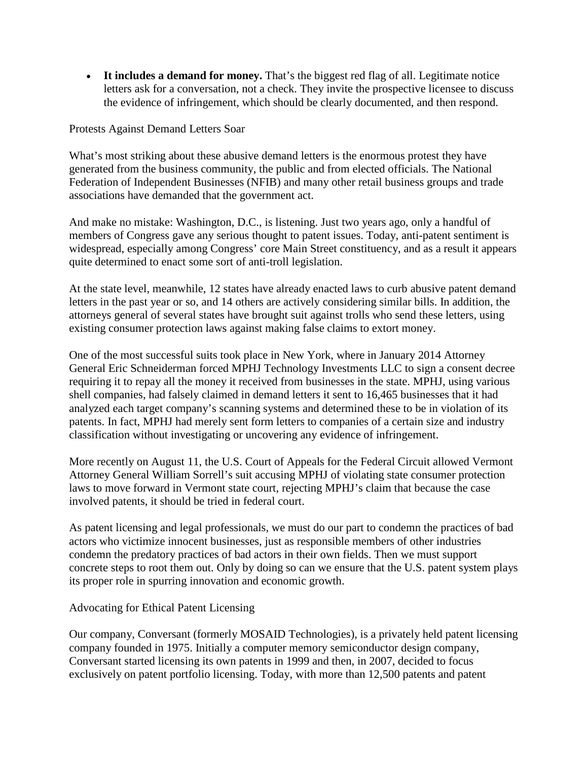• **It includes a demand for money.** That's the biggest red flag of all. Legitimate notice letters ask for a conversation, not a check. They invite the prospective licensee to discuss the evidence of infringement, which should be clearly documented, and then respond.

#### Protests Against Demand Letters Soar

What's most striking about these abusive demand letters is the enormous protest they have generated from the business community, the public and from elected officials. The National Federation of Independent Businesses (NFIB) and many other retail business groups and trade associations have demanded that the government act.

And make no mistake: Washington, D.C., is listening. Just two years ago, only a handful of members of Congress gave any serious thought to patent issues. Today, anti-patent sentiment is widespread, especially among Congress' core Main Street constituency, and as a result it appears quite determined to enact some sort of anti-troll legislation.

At the state level, meanwhile, 12 states have already enacted laws to curb abusive patent demand letters in the past year or so, and 14 others are actively considering similar bills. In addition, the attorneys general of several states have brought suit against trolls who send these letters, using existing consumer protection laws against making false claims to extort money.

One of the most successful suits took place in New York, where in January 2014 Attorney General Eric Schneiderman forced MPHJ Technology Investments LLC to sign a consent decree requiring it to repay all the money it received from businesses in the state. MPHJ, using various shell companies, had falsely claimed in demand letters it sent to 16,465 businesses that it had analyzed each target company's scanning systems and determined these to be in violation of its patents. In fact, MPHJ had merely sent form letters to companies of a certain size and industry classification without investigating or uncovering any evidence of infringement.

More recently on August 11, the U.S. Court of Appeals for the Federal Circuit allowed Vermont Attorney General William Sorrell's suit accusing MPHJ of violating state consumer protection laws to move forward in Vermont state court, rejecting MPHJ's claim that because the case involved patents, it should be tried in federal court.

As patent licensing and legal professionals, we must do our part to condemn the practices of bad actors who victimize innocent businesses, just as responsible members of other industries condemn the predatory practices of bad actors in their own fields. Then we must support concrete steps to root them out. Only by doing so can we ensure that the U.S. patent system plays its proper role in spurring innovation and economic growth.

### Advocating for Ethical Patent Licensing

Our company, Conversant (formerly MOSAID Technologies), is a privately held patent licensing company founded in 1975. Initially a computer memory semiconductor design company, Conversant started licensing its own patents in 1999 and then, in 2007, decided to focus exclusively on patent portfolio licensing. Today, with more than 12,500 patents and patent